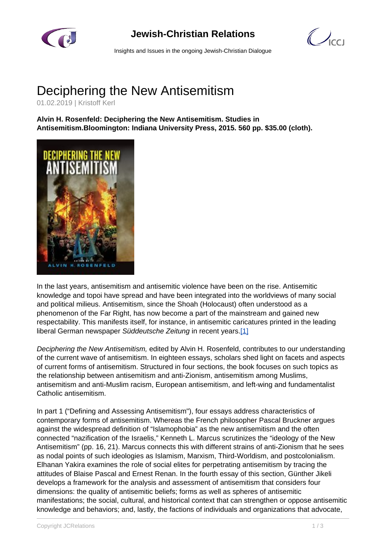

## **Jewish-Christian Relations**

 $\bigcup_{C}$ 

Insights and Issues in the ongoing Jewish-Christian Dialogue

## Deciphering the New Antisemitism

01.02.2019 | Kristoff Kerl

**Alvin H. Rosenfeld: Deciphering the New Antisemitism. Studies in Antisemitism.Bloomington: Indiana University Press, 2015. 560 pp. \$35.00 (cloth).**



In the last years, antisemitism and antisemitic violence have been on the rise. Antisemitic knowledge and topoi have spread and have been integrated into the worldviews of many social and political milieus. Antisemitism, since the Shoah (Holocaust) often understood as a phenomenon of the Far Right, has now become a part of the mainstream and gained new respectability. This manifests itself, for instance, in antisemitic caricatures printed in the leading liberal German newspaper Süddeutsche Zeitung in recent years.[1]

Deciphering the New Antisemitism, edited by Alvin H. Rosenfeld, contributes to our understanding of the current wave of antisemitism. In eighteen essays, scholars shed light on facets and aspects of current forms of antisemitism. Structured in four sections, the book focuses on such topics as the relationship between antisemitism and anti-Zionism, antisemitism among Muslims, antisemitism and anti-Muslim racism, European antisemitism, and left-wing and fundamentalist Catholic antisemitism.

In part 1 ("Defining and Assessing Antisemitism"), four essays address characteristics of contemporary forms of antisemitism. Whereas the French philosopher Pascal Bruckner argues against the widespread definition of "Islamophobia" as the new antisemitism and the often connected "nazification of the Israelis," Kenneth L. Marcus scrutinizes the "ideology of the New Antisemitism" (pp. 16, 21). Marcus connects this with different strains of anti-Zionism that he sees as nodal points of such ideologies as Islamism, Marxism, Third-Worldism, and postcolonialism. Elhanan Yakira examines the role of social elites for perpetrating antisemitism by tracing the attitudes of Blaise Pascal and Ernest Renan. In the fourth essay of this section, Günther Jikeli develops a framework for the analysis and assessment of antisemitism that considers four dimensions: the quality of antisemitic beliefs; forms as well as spheres of antisemitic manifestations; the social, cultural, and historical context that can strengthen or oppose antisemitic knowledge and behaviors; and, lastly, the factions of individuals and organizations that advocate,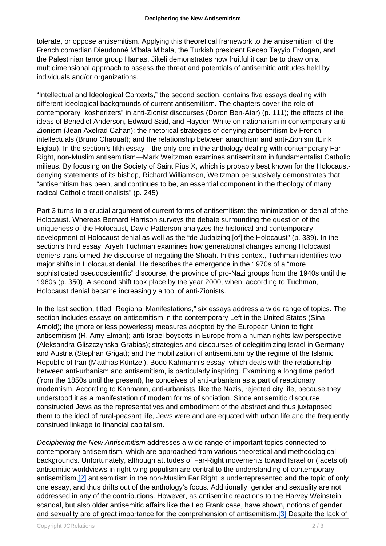tolerate, or oppose antisemitism. Applying this theoretical framework to the antisemitism of the French comedian Dieudonné M'bala M'bala, the Turkish president Recep Tayyip Erdogan, and the Palestinian terror group Hamas, Jikeli demonstrates how fruitful it can be to draw on a multidimensional approach to assess the threat and potentials of antisemitic attitudes held by individuals and/or organizations.

"Intellectual and Ideological Contexts," the second section, contains five essays dealing with different ideological backgrounds of current antisemitism. The chapters cover the role of contemporary "kosherizers" in anti-Zionist discourses (Doron Ben-Atar) (p. 111); the effects of the ideas of Benedict Anderson, Edward Said, and Hayden White on nationalism in contemporary anti-Zionism (Jean Axelrad Cahan); the rhetorical strategies of denying antisemitism by French intellectuals (Bruno Chaouat); and the relationship between anarchism and anti-Zionism (Eirik Eiglau). In the section's fifth essay—the only one in the anthology dealing with contemporary Far-Right, non-Muslim antisemitism—Mark Weitzman examines antisemitism in fundamentalist Catholic milieus. By focusing on the Society of Saint Pius X, which is probably best known for the Holocaustdenying statements of its bishop, Richard Williamson, Weitzman persuasively demonstrates that "antisemitism has been, and continues to be, an essential component in the theology of many radical Catholic traditionalists" (p. 245).

Part 3 turns to a crucial argument of current forms of antisemitism: the minimization or denial of the Holocaust. Whereas Bernard Harrison surveys the debate surrounding the question of the uniqueness of the Holocaust, David Patterson analyzes the historical and contemporary development of Holocaust denial as well as the "de-Judaizing [of] the Holocaust" (p. 339). In the section's third essay, Aryeh Tuchman examines how generational changes among Holocaust deniers transformed the discourse of negating the Shoah. In this context, Tuchman identifies two major shifts in Holocaust denial. He describes the emergence in the 1970s of a "more sophisticated pseudoscientific" discourse, the province of pro-Nazi groups from the 1940s until the 1960s (p. 350). A second shift took place by the year 2000, when, according to Tuchman, Holocaust denial became increasingly a tool of anti-Zionists.

In the last section, titled "Regional Manifestations," six essays address a wide range of topics. The section includes essays on antisemitism in the contemporary Left in the United States (Sina Arnold); the (more or less powerless) measures adopted by the European Union to fight antisemitism (R. Amy Elman); anti-Israel boycotts in Europe from a human rights law perspective (Aleksandra Gliszczynska-Grabias); strategies and discourses of delegitimizing Israel in Germany and Austria (Stephan Grigat); and the mobilization of antisemitism by the regime of the Islamic Republic of Iran (Matthias Küntzel). Bodo Kahmann's essay, which deals with the relationship between anti-urbanism and antisemitism, is particularly inspiring. Examining a long time period (from the 1850s until the present), he conceives of anti-urbanism as a part of reactionary modernism. According to Kahmann, anti-urbanists, like the Nazis, rejected city life, because they understood it as a manifestation of modern forms of sociation. Since antisemitic discourse constructed Jews as the representatives and embodiment of the abstract and thus juxtaposed them to the ideal of rural-peasant life, Jews were and are equated with urban life and the frequently construed linkage to financial capitalism.

Deciphering the New Antisemitism addresses a wide range of important topics connected to contemporary antisemitism, which are approached from various theoretical and methodological backgrounds. Unfortunately, although attitudes of Far-Right movements toward Israel or (facets of) antisemitic worldviews in right-wing populism are central to the understanding of contemporary antisemitism,[2] antisemitism in the non-Muslim Far Right is underrepresented and the topic of only one essay, and thus drifts out of the anthology's focus. Additionally, gender and sexuality are not addressed in any of the contributions. However, as antisemitic reactions to the Harvey Weinstein scandal, but also older antisemitic affairs like the Leo Frank case, have shown, notions of gender and sexuality are of great importance for the comprehension of antisemitism.<sup>[3]</sup> Despite the lack of